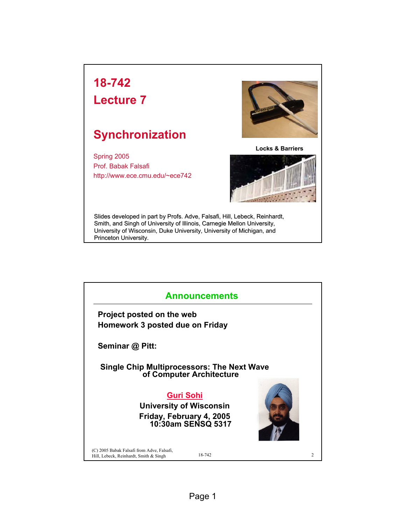## **18-742**

**Lecture 7**

## **Synchronization**

Spring 2005 Prof. Babak Falsafi http://www.ece.cmu.edu/~ece742



**Locks & Barriers**



Slides developed in part by Profs. Adve, Falsafi, Hill, Lebeck, Reinhardt, Smith, and Singh of University of Illinois, Carnegie Mellon University, University of Wisconsin, Duke University, University of Michigan, and Princeton University.

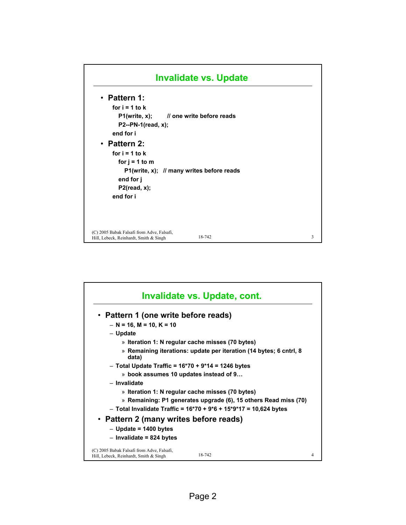

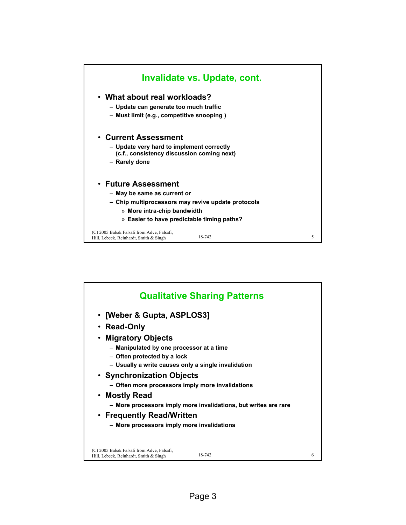

| • [Weber & Gupta, ASPLOS3]                          |                                                                 |  |
|-----------------------------------------------------|-----------------------------------------------------------------|--|
| • Read-Only                                         |                                                                 |  |
| • Migratory Objects                                 |                                                                 |  |
| - Manipulated by one processor at a time            |                                                                 |  |
| - Often protected by a lock                         |                                                                 |  |
| - Usually a write causes only a single invalidation |                                                                 |  |
| • Synchronization Objects                           |                                                                 |  |
|                                                     | - Often more processors imply more invalidations                |  |
| • Mostly Read                                       |                                                                 |  |
|                                                     | - More processors imply more invalidations, but writes are rare |  |
| • Frequently Read/Written                           |                                                                 |  |
| - More processors imply more invalidations          |                                                                 |  |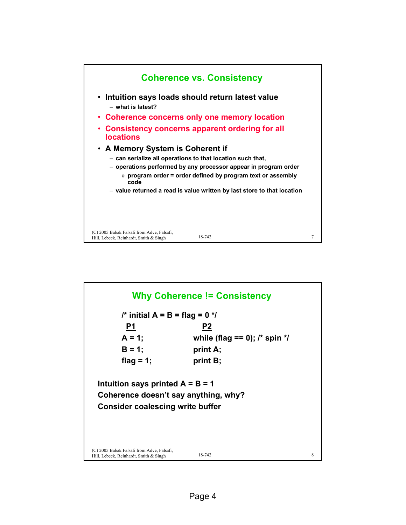

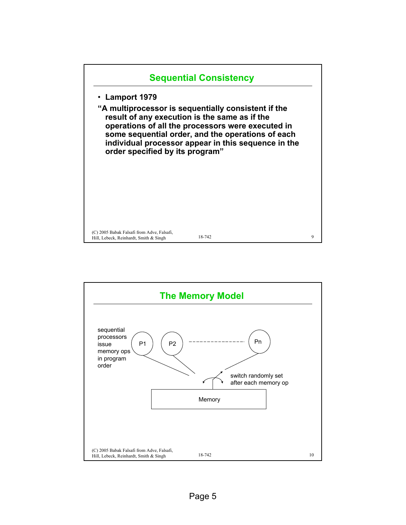

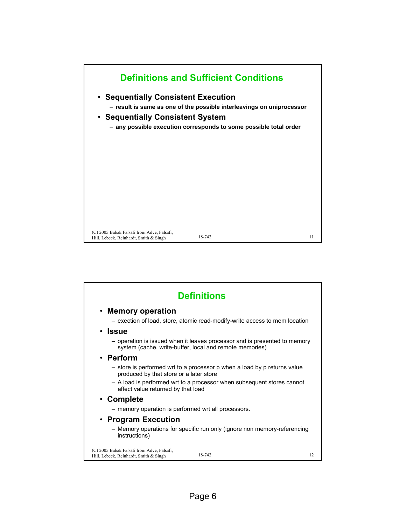

| <b>Definitions</b>                                                                                                                   |    |  |  |  |  |
|--------------------------------------------------------------------------------------------------------------------------------------|----|--|--|--|--|
| • Memory operation                                                                                                                   |    |  |  |  |  |
| - exection of load, store, atomic read-modify-write access to mem location                                                           |    |  |  |  |  |
| • Issue                                                                                                                              |    |  |  |  |  |
| - operation is issued when it leaves processor and is presented to memory<br>system (cache, write-buffer, local and remote memories) |    |  |  |  |  |
| • Perform                                                                                                                            |    |  |  |  |  |
| - store is performed wrt to a processor p when a load by p returns value<br>produced by that store or a later store                  |    |  |  |  |  |
| - A load is performed wrt to a processor when subsequent stores cannot<br>affect value returned by that load                         |    |  |  |  |  |
| • Complete                                                                                                                           |    |  |  |  |  |
| - memory operation is performed wrt all processors.                                                                                  |    |  |  |  |  |
| • Program Execution                                                                                                                  |    |  |  |  |  |
| - Memory operations for specific run only (ignore non memory-referencing<br>instructions)                                            |    |  |  |  |  |
| (C) 2005 Babak Falsafi from Adve, Falsafi,<br>18-742<br>Hill, Lebeck, Reinhardt, Smith & Singh                                       | 12 |  |  |  |  |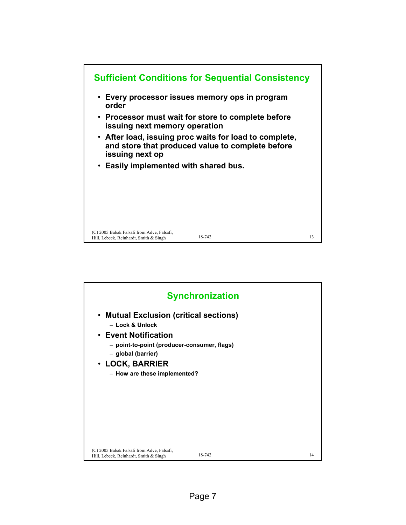

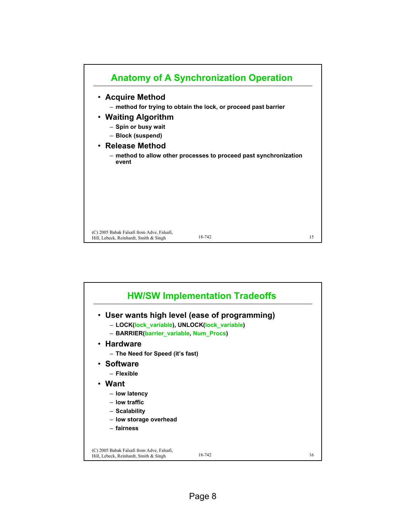

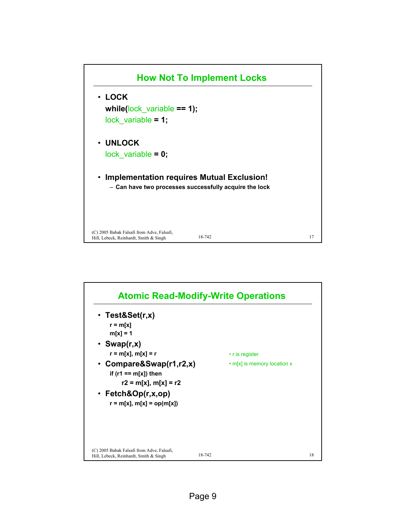

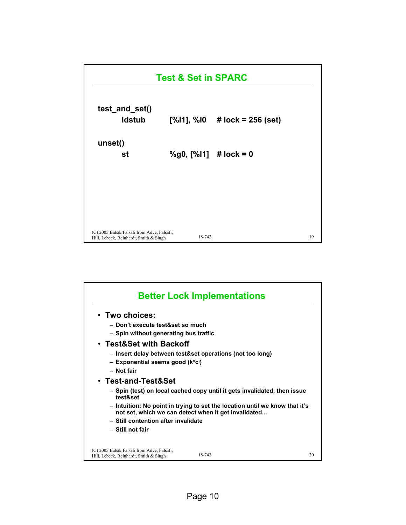

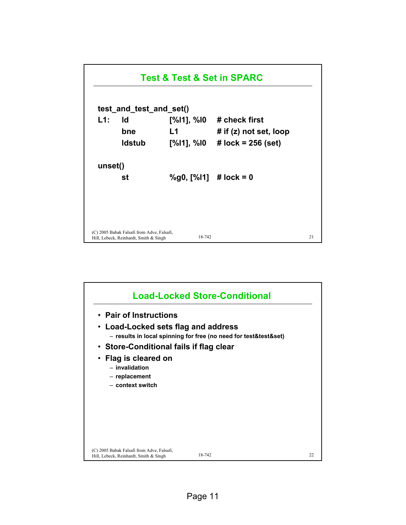

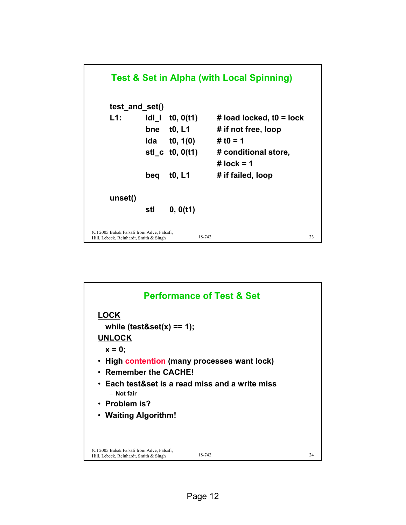

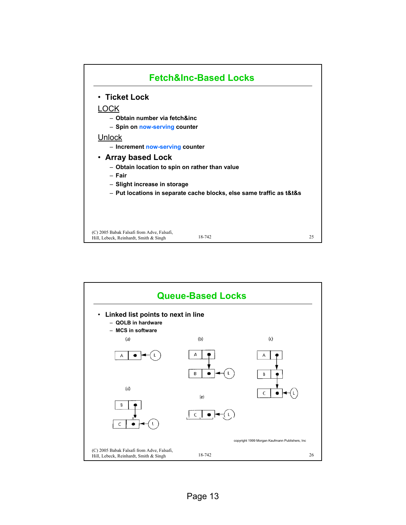

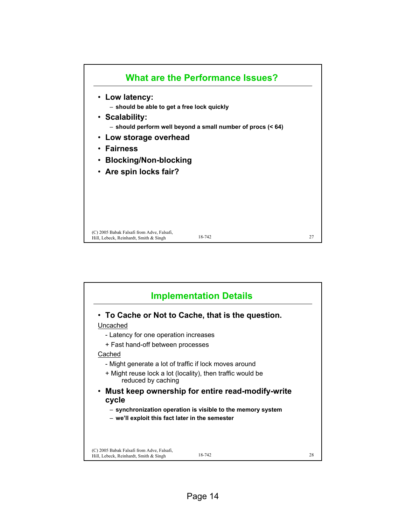

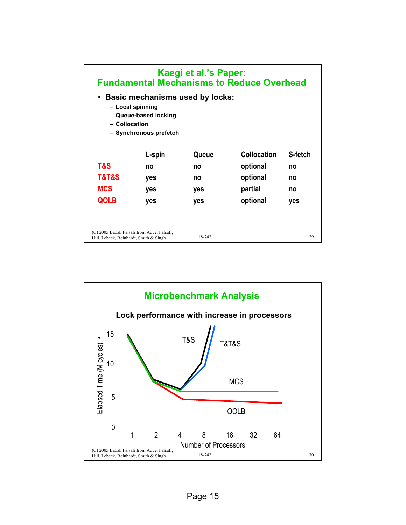| Kaegi et al.'s Paper:<br><b>Fundamental Mechanisms to Reduce Overhead</b>                                                      |        |        |                    |         |  |  |  |  |  |
|--------------------------------------------------------------------------------------------------------------------------------|--------|--------|--------------------|---------|--|--|--|--|--|
| <b>Basic mechanisms used by locks:</b><br>- Local spinning<br>- Queue-based locking<br>- Collocation<br>- Synchronous prefetch |        |        |                    |         |  |  |  |  |  |
|                                                                                                                                | L-spin | Queue  | <b>Collocation</b> | S-fetch |  |  |  |  |  |
| T&S                                                                                                                            | no     | no     | optional           | no      |  |  |  |  |  |
| <b>T&amp;T&amp;S</b>                                                                                                           | yes    | no     | optional           | no      |  |  |  |  |  |
| <b>MCS</b>                                                                                                                     | yes    | yes    | partial            | no      |  |  |  |  |  |
| <b>QOLB</b>                                                                                                                    | yes    | yes    | optional           | yes     |  |  |  |  |  |
| (C) 2005 Babak Falsafi from Adve, Falsafi,<br>Hill, Lebeck, Reinhardt, Smith & Singh                                           |        | 18-742 |                    | 29      |  |  |  |  |  |

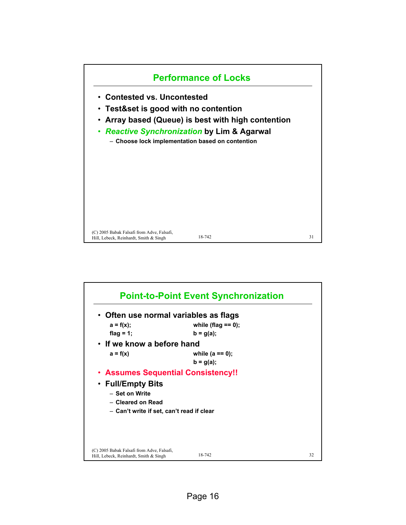

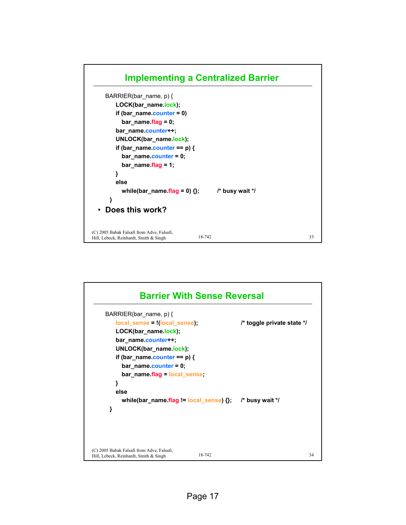